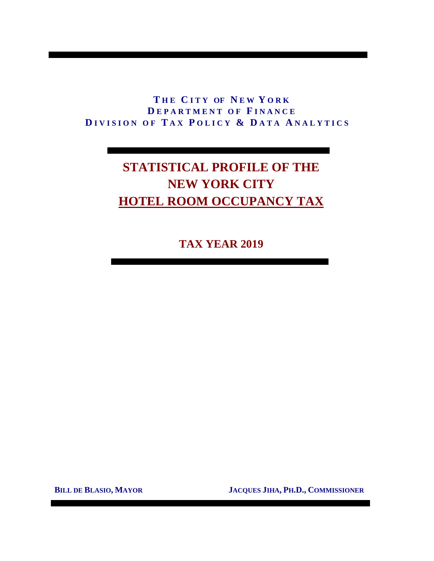# **T H E C I T Y OF N E W Y O R K D E P A R T M E N T O F F I N A N C E D I V I S I O N O F T A X P O L I C Y & D A T A A N A L Y T I C S**

# **STATISTICAL PROFILE OF THE NEW YORK CITY HOTEL ROOM OCCUPANCY TAX**

**TAX YEAR 2019**

 **BILL DE BLASIO, MAYOR JACQUES JIHA, PH.D., COMMISSIONER**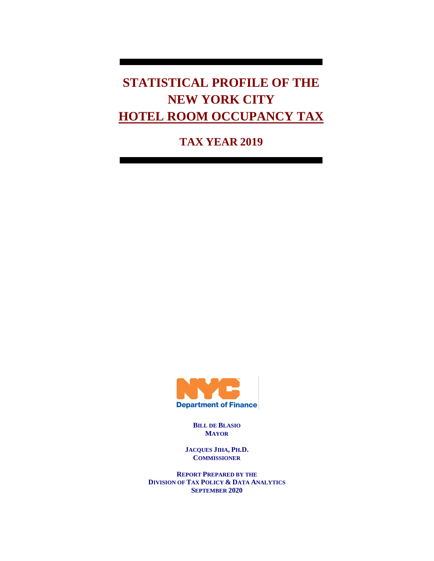**STATISTICAL PROFILE OF THE NEW YORK CITY HOTEL ROOM OCCUPANCY TAX**

**TAX YEAR 2019**



**BILL DE BLASIO MAYOR**

**JACQUES JIHA, PH.D. COMMISSIONER**

**REPORT PREPARED BY THE DIVISION OF TAX POLICY & DATA ANALYTICS SEPTEMBER 2020**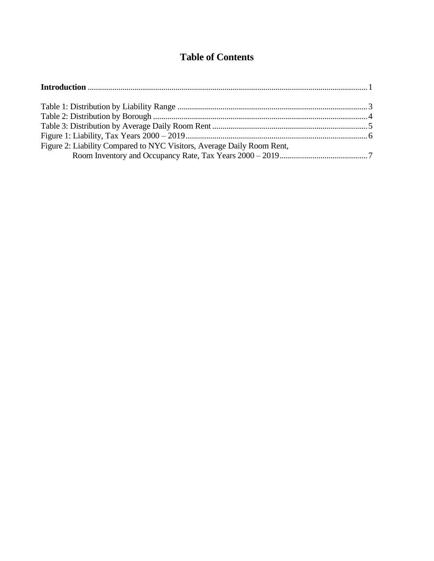# **Table of Contents**

| Figure 2: Liability Compared to NYC Visitors, Average Daily Room Rent, |  |
|------------------------------------------------------------------------|--|
|                                                                        |  |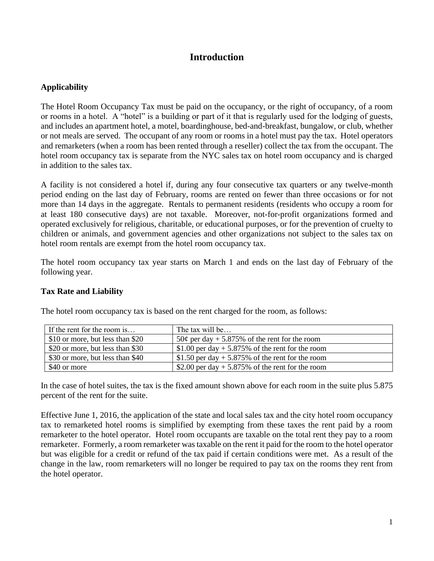## **Introduction**

### **Applicability**

The Hotel Room Occupancy Tax must be paid on the occupancy, or the right of occupancy, of a room or rooms in a hotel. A "hotel" is a building or part of it that is regularly used for the lodging of guests, and includes an apartment hotel, a motel, boardinghouse, bed-and-breakfast, bungalow, or club, whether or not meals are served. The occupant of any room or rooms in a hotel must pay the tax. Hotel operators and remarketers (when a room has been rented through a reseller) collect the tax from the occupant. The hotel room occupancy tax is separate from the NYC sales tax on hotel room occupancy and is charged in addition to the sales tax.

A facility is not considered a hotel if, during any four consecutive tax quarters or any twelve-month period ending on the last day of February, rooms are rented on fewer than three occasions or for not more than 14 days in the aggregate. Rentals to permanent residents (residents who occupy a room for at least 180 consecutive days) are not taxable. Moreover, not-for-profit organizations formed and operated exclusively for religious, charitable, or educational purposes, or for the prevention of cruelty to children or animals, and government agencies and other organizations not subject to the sales tax on hotel room rentals are exempt from the hotel room occupancy tax.

The hotel room occupancy tax year starts on March 1 and ends on the last day of February of the following year.

### **Tax Rate and Liability**

| If the rent for the room is      | The tax will be                                    |
|----------------------------------|----------------------------------------------------|
| \$10 or more, but less than \$20 | 50¢ per day + 5.875% of the rent for the room      |
| \$20 or more, but less than \$30 | \$1.00 per day $+$ 5.875% of the rent for the room |
| \$30 or more, but less than \$40 | \$1.50 per day + 5.875% of the rent for the room   |
| \$40 or more                     | \$2.00 per day $+$ 5.875% of the rent for the room |

The hotel room occupancy tax is based on the rent charged for the room, as follows:

In the case of hotel suites, the tax is the fixed amount shown above for each room in the suite plus 5.875 percent of the rent for the suite.

Effective June 1, 2016, the application of the state and local sales tax and the city hotel room occupancy tax to remarketed hotel rooms is simplified by exempting from these taxes the rent paid by a room remarketer to the hotel operator. Hotel room occupants are taxable on the total rent they pay to a room remarketer. Formerly, a room remarketer was taxable on the rent it paid for the room to the hotel operator but was eligible for a credit or refund of the tax paid if certain conditions were met. As a result of the change in the law, room remarketers will no longer be required to pay tax on the rooms they rent from the hotel operator.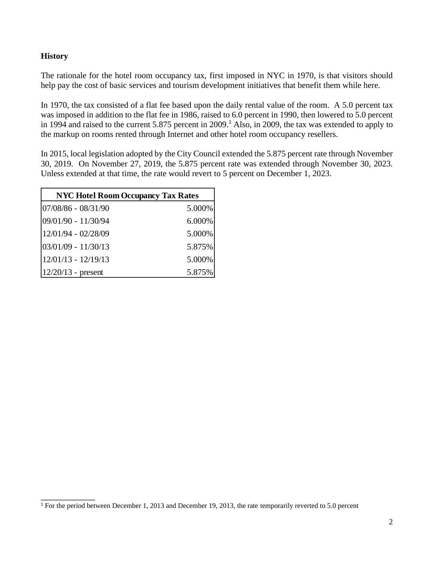### **History**

\_\_\_\_\_\_\_\_\_\_\_\_\_\_

The rationale for the hotel room occupancy tax, first imposed in NYC in 1970, is that visitors should help pay the cost of basic services and tourism development initiatives that benefit them while here.

In 1970, the tax consisted of a flat fee based upon the daily rental value of the room. A 5.0 percent tax was imposed in addition to the flat fee in 1986, raised to 6.0 percent in 1990, then lowered to 5.0 percent in 1994 and raised to the current 5.875 percent in 2009. <sup>1</sup> Also, in 2009, the tax was extended to apply to the markup on rooms rented through Internet and other hotel room occupancy resellers.

In 2015, local legislation adopted by the City Council extended the 5.875 percent rate through November 30, 2019. On November 27, 2019, the 5.875 percent rate was extended through November 30, 2023. Unless extended at that time, the rate would revert to 5 percent on December 1, 2023.

| <b>NYC Hotel Room Occupancy Tax Rates</b> |           |  |  |  |  |  |
|-------------------------------------------|-----------|--|--|--|--|--|
| $ 07/08/86 - 08/31/90$                    | $5.000\%$ |  |  |  |  |  |
| 09/01/90 - 11/30/94                       | $6.000\%$ |  |  |  |  |  |
| $12/01/94 - 02/28/09$                     | 5.000%    |  |  |  |  |  |
| $ 03/01/09 - 11/30/13$                    | 5.875%    |  |  |  |  |  |
| $12/01/13 - 12/19/13$                     | 5.000%    |  |  |  |  |  |
| $12/20/13$ - present                      | 5.875%    |  |  |  |  |  |

<sup>&</sup>lt;sup>1</sup> For the period between December 1, 2013 and December 19, 2013, the rate temporarily reverted to 5.0 percent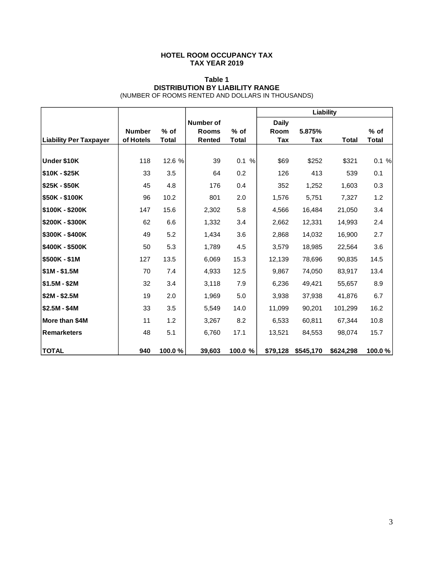#### **HOTEL ROOM OCCUPANCY TAX TAX YEAR 2019**

#### **Table 1 DISTRIBUTION BY LIABILITY RANGE** (NUMBER OF ROOMS RENTED AND DOLLARS IN THOUSANDS)

|                               |                            |                      |                               |                        | Liability    |               |              |                      |
|-------------------------------|----------------------------|----------------------|-------------------------------|------------------------|--------------|---------------|--------------|----------------------|
|                               |                            |                      | <b>Number of</b>              |                        | <b>Daily</b> |               |              |                      |
| <b>Liability Per Taxpayer</b> | <b>Number</b><br>of Hotels | % of<br><b>Total</b> | <b>Rooms</b><br><b>Rented</b> | $%$ of<br><b>Total</b> | Room<br>Tax  | 5.875%<br>Tax | <b>Total</b> | % of<br><b>Total</b> |
|                               |                            |                      |                               |                        |              |               |              |                      |
| Under \$10K                   | 118                        | 12.6 %               | 39                            | 0.1 %                  | \$69         | \$252         | \$321        | 0.1%                 |
| \$10K - \$25K                 | 33                         | 3.5                  | 64                            | 0.2                    | 126          | 413           | 539          | 0.1                  |
| \$25K - \$50K                 | 45                         | 4.8                  | 176                           | 0.4                    | 352          | 1,252         | 1,603        | 0.3                  |
| \$50K - \$100K                | 96                         | 10.2                 | 801                           | 2.0                    | 1,576        | 5,751         | 7,327        | 1.2                  |
| \$100K - \$200K               | 147                        | 15.6                 | 2,302                         | 5.8                    | 4,566        | 16,484        | 21,050       | 3.4                  |
| \$200K - \$300K               | 62                         | 6.6                  | 1,332                         | 3.4                    | 2,662        | 12,331        | 14,993       | 2.4                  |
| \$300K - \$400K               | 49                         | 5.2                  | 1,434                         | 3.6                    | 2,868        | 14,032        | 16,900       | 2.7                  |
| \$400K - \$500K               | 50                         | 5.3                  | 1,789                         | 4.5                    | 3,579        | 18,985        | 22,564       | 3.6                  |
| \$500K - \$1M                 | 127                        | 13.5                 | 6,069                         | 15.3                   | 12,139       | 78,696        | 90,835       | 14.5                 |
| $$1M - $1.5M$                 | 70                         | 7.4                  | 4,933                         | 12.5                   | 9,867        | 74,050        | 83,917       | 13.4                 |
| $$1.5M - $2M$                 | 32                         | 3.4                  | 3,118                         | 7.9                    | 6,236        | 49,421        | 55,657       | 8.9                  |
| \$2M - \$2.5M                 | 19                         | 2.0                  | 1,969                         | 5.0                    | 3,938        | 37,938        | 41,876       | 6.7                  |
| \$2.5M - \$4M                 | 33                         | 3.5                  | 5,549                         | 14.0                   | 11,099       | 90,201        | 101,299      | 16.2                 |
| More than \$4M                | 11                         | 1.2                  | 3,267                         | 8.2                    | 6,533        | 60,811        | 67,344       | 10.8                 |
| <b>Remarketers</b>            | 48                         | 5.1                  | 6,760                         | 17.1                   | 13,521       | 84,553        | 98,074       | 15.7                 |
| <b>TOTAL</b>                  | 940                        | 100.0%               | 39,603                        | 100.0 %                | \$79,128     | \$545,170     | \$624,298    | 100.0%               |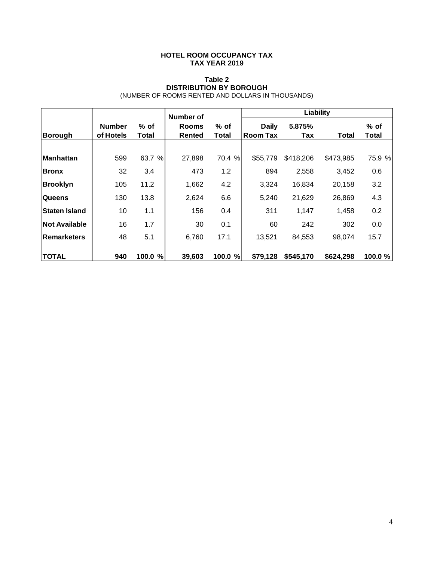#### **HOTEL ROOM OCCUPANCY TAX TAX YEAR 2019**

#### **Table 2 DISTRIBUTION BY BOROUGH** (NUMBER OF ROOMS RENTED AND DOLLARS IN THOUSANDS)

|                      |                            |                 | Number of              |                      | Liability                       |               |           |                 |  |
|----------------------|----------------------------|-----------------|------------------------|----------------------|---------------------------------|---------------|-----------|-----------------|--|
| Borough              | <b>Number</b><br>of Hotels | $%$ of<br>Total | <b>Rooms</b><br>Rented | % of<br><b>Total</b> | <b>Daily</b><br><b>Room Tax</b> | 5.875%<br>Tax | Total     | $%$ of<br>Total |  |
|                      |                            |                 |                        |                      |                                 |               |           |                 |  |
| <b>Manhattan</b>     | 599                        | 63.7 %          | 27,898                 | 70.4 %               | \$55,779                        | \$418,206     | \$473,985 | 75.9 %          |  |
| Bronx                | 32                         | 3.4             | 473                    | 1.2                  | 894                             | 2,558         | 3,452     | 0.6             |  |
| Brooklyn             | 105                        | 11.2            | 1,662                  | 4.2                  | 3,324                           | 16,834        | 20,158    | 3.2             |  |
| <b>Queens</b>        | 130                        | 13.8            | 2,624                  | 6.6                  | 5,240                           | 21,629        | 26,869    | 4.3             |  |
| Staten Island        | 10                         | 1.1             | 156                    | 0.4                  | 311                             | 1,147         | 1,458     | 0.2             |  |
| <b>Not Available</b> | 16                         | 1.7             | 30                     | 0.1                  | 60                              | 242           | 302       | 0.0             |  |
| <b>Remarketers</b>   | 48                         | 5.1             | 6,760                  | 17.1                 | 13,521                          | 84,553        | 98,074    | 15.7            |  |
| <b>TOTAL</b>         | 940                        | 100.0<br>%      | 39,603                 | 100.0 %              | \$79,128                        | \$545,170     | \$624,298 | 100.0 %         |  |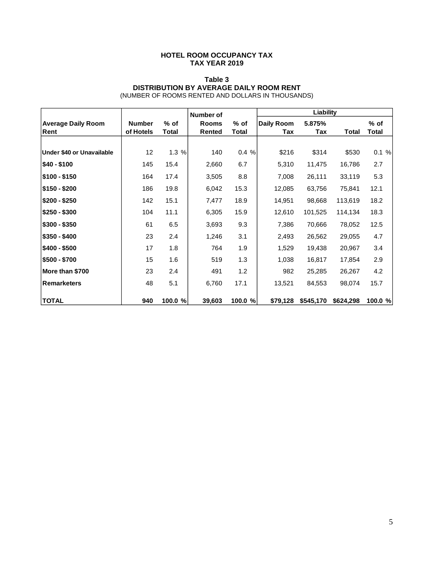#### **HOTEL ROOM OCCUPANCY TAX TAX YEAR 2019**

#### **Table 3 DISTRIBUTION BY AVERAGE DAILY ROOM RENT** (NUMBER OF ROOMS RENTED AND DOLLARS IN THOUSANDS)

|                           |               |         | Number of     |         | Liability         |           |              |         |
|---------------------------|---------------|---------|---------------|---------|-------------------|-----------|--------------|---------|
| <b>Average Daily Room</b> | <b>Number</b> | $%$ of  | <b>Rooms</b>  | % of    | <b>Daily Room</b> | 5.875%    |              | % of    |
| Rent                      | of Hotels     | Total   | <b>Rented</b> | Total   | Tax               | Tax       | <b>Total</b> | Total   |
|                           |               |         |               |         |                   |           |              |         |
| Under \$40 or Unavailable | 12            | 1.3%    | 140           | 0.4%    | \$216             | \$314     | \$530        | 0.1%    |
| \$40 - \$100              | 145           | 15.4    | 2,660         | 6.7     | 5,310             | 11,475    | 16,786       | 2.7     |
| \$100 - \$150             | 164           | 17.4    | 3,505         | 8.8     | 7,008             | 26,111    | 33,119       | 5.3     |
| \$150 - \$200             | 186           | 19.8    | 6,042         | 15.3    | 12,085            | 63,756    | 75,841       | 12.1    |
| \$200 - \$250             | 142           | 15.1    | 7,477         | 18.9    | 14,951            | 98,668    | 113,619      | 18.2    |
| \$250 - \$300             | 104           | 11.1    | 6,305         | 15.9    | 12,610            | 101,525   | 114,134      | 18.3    |
| $$300 - $350$             | 61            | 6.5     | 3,693         | 9.3     | 7,386             | 70,666    | 78,052       | 12.5    |
| $$350 - $400$             | 23            | 2.4     | 1,246         | 3.1     | 2,493             | 26,562    | 29,055       | 4.7     |
| $$400 - $500$             | 17            | 1.8     | 764           | 1.9     | 1,529             | 19,438    | 20,967       | 3.4     |
| \$500 - \$700             | 15            | 1.6     | 519           | 1.3     | 1,038             | 16,817    | 17,854       | 2.9     |
| More than \$700           | 23            | 2.4     | 491           | 1.2     | 982               | 25,285    | 26,267       | 4.2     |
| <b>Remarketers</b>        | 48            | 5.1     | 6,760         | 17.1    | 13,521            | 84,553    | 98,074       | 15.7    |
| <b>TOTAL</b>              | 940           | 100.0 % | 39,603        | 100.0 % | \$79,128          | \$545,170 | \$624,298    | 100.0 % |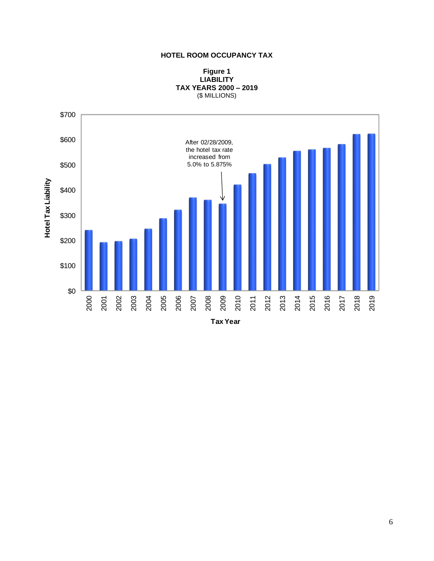#### **HOTEL ROOM OCCUPANCY TAX**